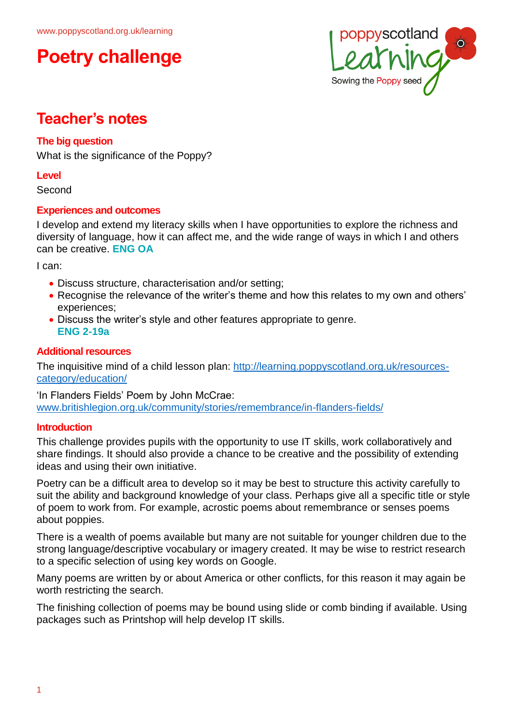## **Poetry challenge**



## **Teacher's notes**

### **The big question**

What is the significance of the Poppy?

#### **Level**

Second

### **Experiences and outcomes**

I develop and extend my literacy skills when I have opportunities to explore the richness and diversity of language, how it can affect me, and the wide range of ways in which I and others can be creative. **ENG OA**

I can:

- Discuss structure, characterisation and/or setting;
- Recognise the relevance of the writer's theme and how this relates to my own and others' experiences;
- Discuss the writer's style and other features appropriate to genre. **ENG 2-19a**

### **Additional resources**

The inquisitive mind of a child lesson plan: [http://learning.poppyscotland.org.uk/resources](http://learning.poppyscotland.org.uk/resources-category/education/)[category/education/](http://learning.poppyscotland.org.uk/resources-category/education/)

'In Flanders Fields' Poem by John McCrae: [www.britishlegion.org.uk/community/stories/remembrance/in-flanders-fields/](http://www.britishlegion.org.uk/community/stories/remembrance/in-flanders-fields/)

### **Introduction**

This challenge provides pupils with the opportunity to use IT skills, work collaboratively and share findings. It should also provide a chance to be creative and the possibility of extending ideas and using their own initiative.

Poetry can be a difficult area to develop so it may be best to structure this activity carefully to suit the ability and background knowledge of your class. Perhaps give all a specific title or style of poem to work from. For example, acrostic poems about remembrance or senses poems about poppies.

There is a wealth of poems available but many are not suitable for younger children due to the strong language/descriptive vocabulary or imagery created. It may be wise to restrict research to a specific selection of using key words on Google.

Many poems are written by or about America or other conflicts, for this reason it may again be worth restricting the search.

The finishing collection of poems may be bound using slide or comb binding if available. Using packages such as Printshop will help develop IT skills.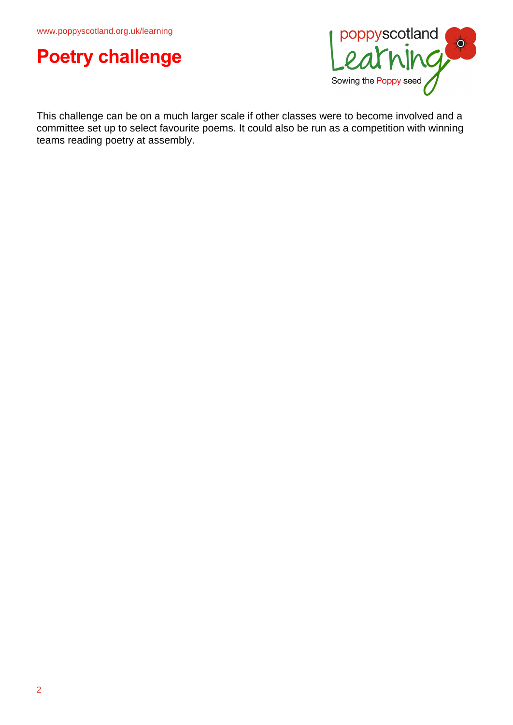



This challenge can be on a much larger scale if other classes were to become involved and a committee set up to select favourite poems. It could also be run as a competition with winning teams reading poetry at assembly.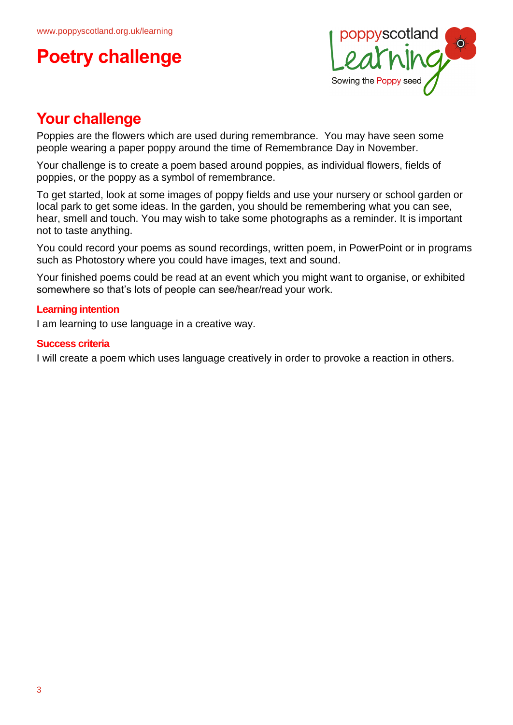# **Poetry challenge**



## **Your challenge**

Poppies are the flowers which are used during remembrance. You may have seen some people wearing a paper poppy around the time of Remembrance Day in November.

Your challenge is to create a poem based around poppies, as individual flowers, fields of poppies, or the poppy as a symbol of remembrance.

To get started, look at some images of poppy fields and use your nursery or school garden or local park to get some ideas. In the garden, you should be remembering what you can see, hear, smell and touch. You may wish to take some photographs as a reminder. It is important not to taste anything.

You could record your poems as sound recordings, written poem, in PowerPoint or in programs such as Photostory where you could have images, text and sound.

Your finished poems could be read at an event which you might want to organise, or exhibited somewhere so that's lots of people can see/hear/read your work.

### **Learning intention**

I am learning to use language in a creative way.

#### **Success criteria**

I will create a poem which uses language creatively in order to provoke a reaction in others.